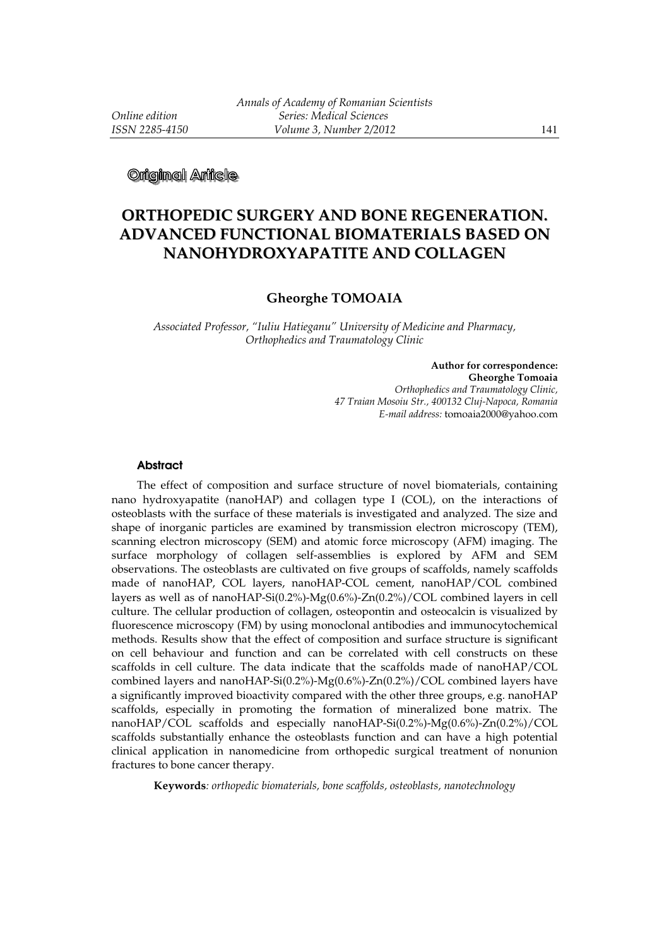**Original Arlicle** 

# **ORTHOPEDIC SURGERY AND BONE REGENERATION. ADVANCED FUNCTIONAL BIOMATERIALS BASED ON NANOHYDROXYAPATITE AND COLLAGEN**

## **Gheorghe TOMOAIA**

*Associated Professor, "Iuliu Hatieganu" University of Medicine and Pharmacy, Orthophedics and Traumatology Clinic* 

> **Author for correspondence: Gheorghe Tomoaia**  *Orthophedics and Traumatology Clinic, 47 Traian Mosoiu Str., 400132 Cluj-Napoca, Romania E-mail address:* tomoaia2000@yahoo.com

## **Abstract**

The effect of composition and surface structure of novel biomaterials, containing nano hydroxyapatite (nanoHAP) and collagen type I (COL), on the interactions of osteoblasts with the surface of these materials is investigated and analyzed. The size and shape of inorganic particles are examined by transmission electron microscopy (TEM), scanning electron microscopy (SEM) and atomic force microscopy (AFM) imaging. The surface morphology of collagen self-assemblies is explored by AFM and SEM observations. The osteoblasts are cultivated on five groups of scaffolds, namely scaffolds made of nanoHAP, COL layers, nanoHAP-COL cement, nanoHAP/COL combined layers as well as of nanoHAP-Si(0.2%)- $Mg(0.6%)$ -Zn(0.2%)/COL combined layers in cell culture. The cellular production of collagen, osteopontin and osteocalcin is visualized by fluorescence microscopy (FM) by using monoclonal antibodies and immunocytochemical methods. Results show that the effect of composition and surface structure is significant on cell behaviour and function and can be correlated with cell constructs on these scaffolds in cell culture. The data indicate that the scaffolds made of nanoHAP/COL combined layers and nanoHAP-Si(0.2%)-Mg(0.6%)-Zn(0.2%)/COL combined layers have a significantly improved bioactivity compared with the other three groups, e.g. nanoHAP scaffolds, especially in promoting the formation of mineralized bone matrix. The nanoHAP/COL scaffolds and especially nanoHAP-Si(0.2%)-Mg(0.6%)-Zn(0.2%)/COL scaffolds substantially enhance the osteoblasts function and can have a high potential clinical application in nanomedicine from orthopedic surgical treatment of nonunion fractures to bone cancer therapy.

**Keywords***: orthopedic biomaterials, bone scaffolds, osteoblasts, nanotechnology*